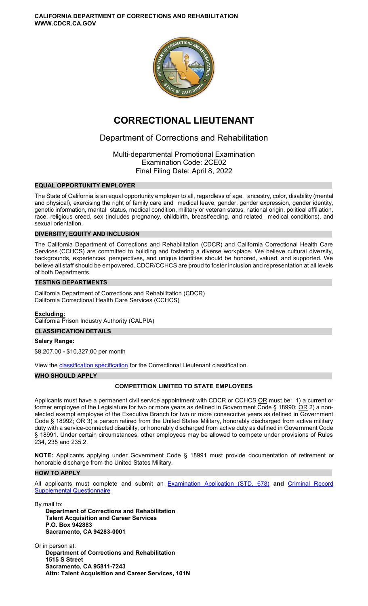**CALIFORNIA DEPARTMENT OF CORRECTIONS AND REHABILITATION WWW.CDCR.CA.GOV** 



# **CORRECTIONAL LIEUTENANT**

## Department of Corrections and Rehabilitation

Multi-departmental Promotional Examination Examination Code: 2CE02 Final Filing Date: April 8, 2022

### **EQUAL OPPORTUNITY EMPLOYER**

The State of California is an equal opportunity employer to all, regardless of age, ancestry, color, disability (mental and physical), exercising the right of family care and medical leave, gender, gender expression, gender identity, genetic information, marital status, medical condition, military or veteran status, national origin, political affiliation, race, religious creed, sex (includes pregnancy, childbirth, breastfeeding, and related medical conditions), and sexual orientation.

### **DIVERSITY, EQUITY AND INCLUSION**

The California Department of Corrections and Rehabilitation (CDCR) and California Correctional Health Care Services (CCHCS) are committed to building and fostering a diverse workplace. We believe cultural diversity, backgrounds, experiences, perspectives, and unique identities should be honored, valued, and supported. We believe all staff should be empowered. CDCR/CCHCS are proud to foster inclusion and representation at all levels of both Departments.

### **TESTING DEPARTMENTS**

California Department of Corrections and Rehabilitation (CDCR) California Correctional Health Care Services (CCHCS)

### **Excluding:**

California Prison Industry Authority (CALPIA)

### **CLASSIFICATION DETAILS**

**Salary Range:** 

\$8,207.00 **-** \$10,327.00 per month

View the [classification specification](https://www.calhr.ca.gov/state-hr-professionals/Pages/9656.aspx) for the Correctional Lieutenant classification.

#### **WHO SHOULD APPLY**

### **COMPETITION LIMITED TO STATE EMPLOYEES**

Applicants must have a permanent civil service appointment with CDCR or CCHCS OR must be: 1) a current or former employee of the Legislature for two or more years as defined in Government Code § 18990;  $OR$  2) a nonelected exempt employee of the Executive Branch for two or more consecutive years as defined in Government Code § 18992; OR 3) a person retired from the United States Military, honorably discharged from active military duty with a service-connected disability, or honorably discharged from active duty as defined in Government Code § 18991. Under certain circumstances, other employees may be allowed to compete under provisions of Rules 234, 235 and 235.2.

**NOTE:** Applicants applying under Government Code § 18991 must provide documentation of retirement or honorable discharge from the United States Military.

#### **HOW TO APPLY**

All applicants must complete and submit an [Examination Application \(STD. 678\)](https://jobs.ca.gov/pdf/STD678.pdf) **and** [Criminal Record](https://jobs.ca.gov/pdf/crsq.pdf)  [Supplemental Questionnaire](https://jobs.ca.gov/pdf/crsq.pdf) 

By mail to: **Department of Corrections and Rehabilitation Talent Acquisition and Career Services P.O. Box 942883 Sacramento, CA 94283-0001** 

Or in person at: **Department of Corrections and Rehabilitation 1515 S Street Sacramento, CA 95811-7243 Attn: Talent Acquisition and Career Services, 101N**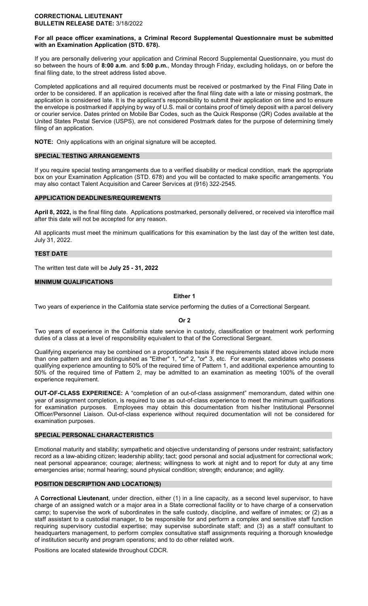#### **CORRECTIONAL LIEUTENANT BULLETIN RELEASE DATE:** 3/18/2022

### **For all peace officer examinations, a Criminal Record Supplemental Questionnaire must be submitted with an Examination Application (STD. 678).**

If you are personally delivering your application and Criminal Record Supplemental Questionnaire, you must do so between the hours of **8:00 a.m**. and **5:00 p.m.**, Monday through Friday, excluding holidays, on or before the final filing date, to the street address listed above.

Completed applications and all required documents must be received or postmarked by the Final Filing Date in order to be considered. If an application is received after the final filing date with a late or missing postmark, the application is considered late. It is the applicant's responsibility to submit their application on time and to ensure the envelope is postmarked if applying by way of U.S. mail or contains proof of timely deposit with a parcel delivery or courier service. Dates printed on Mobile Bar Codes, such as the Quick Response (QR) Codes available at the United States Postal Service (USPS), are not considered Postmark dates for the purpose of determining timely filing of an application.

**NOTE:** Only applications with an original signature will be accepted.

### **SPECIAL TESTING ARRANGEMENTS**

If you require special testing arrangements due to a verified disability or medical condition, mark the appropriate box on your Examination Application (STD. 678) and you will be contacted to make specific arrangements. You may also contact Talent Acquisition and Career Services at (916) 322-2545.

### **APPLICATION DEADLINES/REQUIREMENTS**

**April 8, 2022,** is the final filing date. Applications postmarked, personally delivered, or received via interoffice mail after this date will not be accepted for any reason.

All applicants must meet the minimum qualifications for this examination by the last day of the written test date, July 31, 2022.

### **TEST DATE**

The written test date will be **July 25 - 31, 2022** 

### **MINIMUM QUALIFICATIONS**

### **Either 1**

Two years of experience in the California state service performing the duties of a Correctional Sergeant.

**Or 2** 

Two years of experience in the California state service in custody, classification or treatment work performing duties of a class at a level of responsibility equivalent to that of the Correctional Sergeant.

Qualifying experience may be combined on a proportionate basis if the requirements stated above include more than one pattern and are distinguished as "Either" 1, "or" 2, "or" 3, etc. For example, candidates who possess qualifying experience amounting to 50% of the required time of Pattern 1, and additional experience amounting to 50% of the required time of Pattern 2, may be admitted to an examination as meeting 100% of the overall experience requirement.

**OUT-OF-CLASS EXPERIENCE:** A "completion of an out-of-class assignment" memorandum, dated within one year of assignment completion, is required to use as out-of-class experience to meet the minimum qualifications for examination purposes. Employees may obtain this documentation from his/her Institutional Personnel Officer/Personnel Liaison. Out-of-class experience without required documentation will not be considered for examination purposes.

#### **SPECIAL PERSONAL CHARACTERISTICS**

Emotional maturity and stability; sympathetic and objective understanding of persons under restraint; satisfactory record as a law-abiding citizen; leadership ability; tact; good personal and social adjustment for correctional work; neat personal appearance; courage; alertness; willingness to work at night and to report for duty at any time emergencies arise; normal hearing; sound physical condition; strength; endurance; and agility.

### **POSITION DESCRIPTION AND LOCATION(S)**

A **Correctional Lieutenant**, under direction, either (1) in a line capacity, as a second level supervisor, to have charge of an assigned watch or a major area in a State correctional facility or to have charge of a conservation camp; to supervise the work of subordinates in the safe custody, discipline, and welfare of inmates; or (2) as a staff assistant to a custodial manager, to be responsible for and perform a complex and sensitive staff function requiring supervisory custodial expertise; may supervise subordinate staff; and (3) as a staff consultant to headquarters management, to perform complex consultative staff assignments requiring a thorough knowledge of institution security and program operations; and to do other related work.

Positions are located statewide throughout CDCR.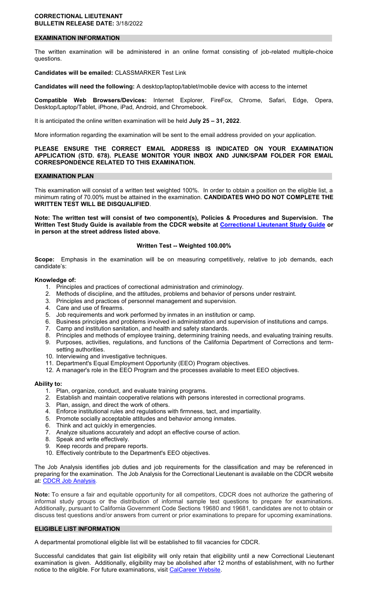#### **CORRECTIONAL LIEUTENANT BULLETIN RELEASE DATE:** 3/18/2022

#### **EXAMINATION INFORMATION**

The written examination will be administered in an online format consisting of job-related multiple-choice questions.

### **Candidates will be emailed:** CLASSMARKER Test Link

**Candidates will need the following:** A desktop/laptop/tablet/mobile device with access to the internet

**Compatible Web Browsers/Devices:** Internet Explorer, FireFox, Chrome, Safari, Edge, Opera, Desktop/Laptop/Tablet, iPhone, iPad, Android, and Chromebook.

It is anticipated the online written examination will be held **July 25 – 31, 2022**.

More information regarding the examination will be sent to the email address provided on your application.

#### **PLEASE ENSURE THE CORRECT EMAIL ADDRESS IS INDICATED ON YOUR EXAMINATION APPLICATION (STD. 678). PLEASE MONITOR YOUR INBOX AND JUNK/SPAM FOLDER FOR EMAIL CORRESPONDENCE RELATED TO THIS EXAMINATION.**

#### **EXAMINATION PLAN**

This examination will consist of a written test weighted 100%. In order to obtain a position on the eligible list, a minimum rating of 70.00% must be attained in the examination. **CANDIDATES WHO DO NOT COMPLETE THE WRITTEN TEST WILL BE DISQUALIFIED**.

**Note: The written test will consist of two component(s), Policies & Procedures and Supervision. The Written Test Study Guide is available from the CDCR website at [Correctional Lieutenant Study Guide](https://www.cdcr.ca.gov/careers/wp-content/uploads/sites/164/2022/03/LT-Studyguide.pdf) or in person at the street address listed above.** 

#### **Written Test -- Weighted 100.00%**

**Scope:** Emphasis in the examination will be on measuring competitively, relative to job demands, each candidate's:

#### **Knowledge of:**

- 1. Principles and practices of correctional administration and criminology.
- 2. Methods of discipline, and the attitudes, problems and behavior of persons under restraint.
- 3. Principles and practices of personnel management and supervision.
- 4. Care and use of firearms.
- 5. Job requirements and work performed by inmates in an institution or camp.
- 6. Business principles and problems involved in administration and supervision of institutions and camps.
- 7. Camp and institution sanitation, and health and safety standards.
- 8. Principles and methods of employee training, determining training needs, and evaluating training results.
- 9. Purposes, activities, regulations, and functions of the California Department of Corrections and termsetting authorities.
- 10. Interviewing and investigative techniques.
- 11. Department's Equal Employment Opportunity (EEO) Program objectives.
- 12. A manager's role in the EEO Program and the processes available to meet EEO objectives.

#### **Ability to:**

- 1. Plan, organize, conduct, and evaluate training programs.
- 2. Establish and maintain cooperative relations with persons interested in correctional programs.
- 3. Plan, assign, and direct the work of others.
- 4. Enforce institutional rules and regulations with firmness, tact, and impartiality.
- 5. Promote socially acceptable attitudes and behavior among inmates.
- 6. Think and act quickly in emergencies.
- 7. Analyze situations accurately and adopt an effective course of action.
- 8. Speak and write effectively.
- 9. Keep records and prepare reports.
- 10. Effectively contribute to the Department's EEO objectives.

The Job Analysis identifies job duties and job requirements for the classification and may be referenced in preparing for the examination. The Job Analysis for the Correctional Lieutenant is available on the CDCR website at: [CDCR Job Analysis.](https://www.cdcr.ca.gov/Career_Opportunities/HR/OPS/Exams/Analysis/index.html)

**Note:** To ensure a fair and equitable opportunity for all competitors, CDCR does not authorize the gathering of informal study groups or the distribution of informal sample test questions to prepare for examinations. Additionally, pursuant to California Government Code Sections 19680 and 19681, candidates are not to obtain or discuss test questions and/or answers from current or prior examinations to prepare for upcoming examinations.

#### **ELIGIBLE LIST INFORMATION**

A departmental promotional eligible list will be established to fill vacancies for CDCR.

Successful candidates that gain list eligibility will only retain that eligibility until a new Correctional Lieutenant examination is given. Additionally, eligibility may be abolished after 12 months of establishment, with no further notice to the eligible. For future examinations, visit [CalCareer Website.](https://www.jobs.ca.gov/)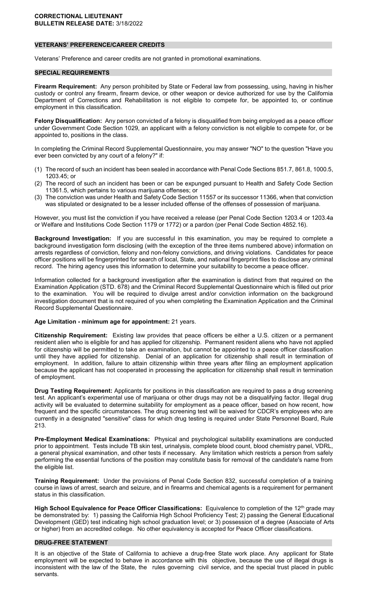### **VETERANS' PREFERENCE/CAREER CREDITS**

Veterans' Preference and career credits are not granted in promotional examinations.

#### **SPECIAL REQUIREMENTS**

**Firearm Requirement:** Any person prohibited by State or Federal law from possessing, using, having in his/her custody or control any firearm, firearm device, or other weapon or device authorized for use by the California Department of Corrections and Rehabilitation is not eligible to compete for, be appointed to, or continue employment in this classification.

**Felony Disqualification:** Any person convicted of a felony is disqualified from being employed as a peace officer under Government Code Section 1029, an applicant with a felony conviction is not eligible to compete for, or be appointed to, positions in the class.

In completing the Criminal Record Supplemental Questionnaire, you may answer "NO" to the question "Have you ever been convicted by any court of a felony?" if:

- (1) The record of such an incident has been sealed in accordance with Penal Code Sections 851.7, 861.8, 1000.5, 1203.45; or
- (2) The record of such an incident has been or can be expunged pursuant to Health and Safety Code Section 11361.5, which pertains to various marijuana offenses; or
- (3) The conviction was under Health and Safety Code Section 11557 or its successor 11366, when that conviction was stipulated or designated to be a lesser included offense of the offenses of possession of marijuana.

However, you must list the conviction if you have received a release (per Penal Code Section 1203.4 or 1203.4a or Welfare and Institutions Code Section 1179 or 1772) or a pardon (per Penal Code Section 4852.16).

**Background Investigation:** If you are successful in this examination, you may be required to complete a background investigation form disclosing (with the exception of the three items numbered above) information on arrests regardless of conviction, felony and non-felony convictions, and driving violations. Candidates for peace officer positions will be fingerprinted for search of local, State, and national fingerprint files to disclose any criminal record. The hiring agency uses this information to determine your suitability to become a peace officer.

Information collected for a background investigation after the examination is distinct from that required on the Examination Application (STD. 678) and the Criminal Record Supplemental Questionnaire which is filled out prior to the examination. You will be required to divulge arrest and/or conviction information on the background investigation document that is not required of you when completing the Examination Application and the Criminal Record Supplemental Questionnaire.

#### **Age Limitation - minimum age for appointment:** 21 years.

**Citizenship Requirement:** Existing law provides that peace officers be either a U.S. citizen or a permanent resident alien who is eligible for and has applied for citizenship. Permanent resident aliens who have not applied for citizenship will be permitted to take an examination, but cannot be appointed to a peace officer classification until they have applied for citizenship. Denial of an application for citizenship shall result in termination of employment. In addition, failure to attain citizenship within three years after filing an employment application because the applicant has not cooperated in processing the application for citizenship shall result in termination of employment.

**Drug Testing Requirement:** Applicants for positions in this classification are required to pass a drug screening test. An applicant's experimental use of marijuana or other drugs may not be a disqualifying factor. Illegal drug activity will be evaluated to determine suitability for employment as a peace officer, based on how recent, how frequent and the specific circumstances. The drug screening test will be waived for CDCR's employees who are currently in a designated "sensitive" class for which drug testing is required under State Personnel Board, Rule 213.

**Pre-Employment Medical Examinations:** Physical and psychological suitability examinations are conducted prior to appointment. Tests include TB skin test, urinalysis, complete blood count, blood chemistry panel, VDRL, a general physical examination, and other tests if necessary. Any limitation which restricts a person from safely performing the essential functions of the position may constitute basis for removal of the candidate's name from the eligible list.

**Training Requirement:** Under the provisions of Penal Code Section 832, successful completion of a training course in laws of arrest, search and seizure, and in firearms and chemical agents is a requirement for permanent status in this classification.

**High School Equivalence for Peace Officer Classifications:** Equivalence to completion of the 12th grade may be demonstrated by: 1) passing the California High School Proficiency Test; 2) passing the General Educational Development (GED) test indicating high school graduation level; or 3) possession of a degree (Associate of Arts or higher) from an accredited college. No other equivalency is accepted for Peace Officer classifications.

#### **DRUG-FREE STATEMENT**

It is an objective of the State of California to achieve a drug-free State work place. Any applicant for State employment will be expected to behave in accordance with this objective, because the use of illegal drugs is inconsistent with the law of the State, the rules governing civil service, and the special trust placed in public servants.